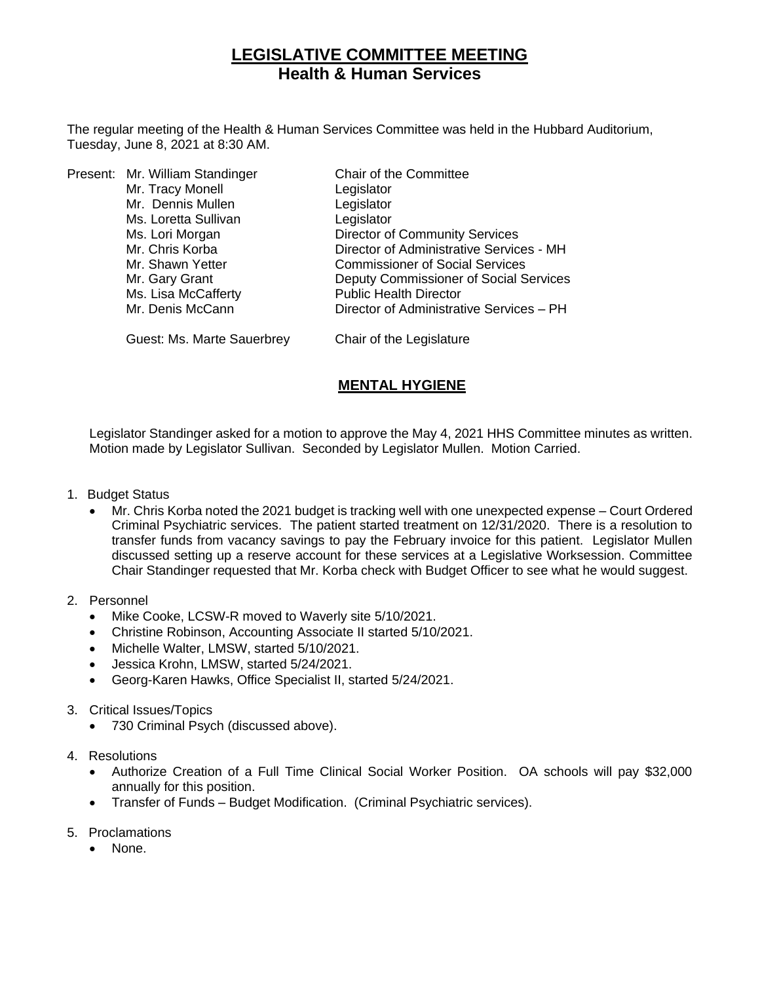# **LEGISLATIVE COMMITTEE MEETING Health & Human Services**

The regular meeting of the Health & Human Services Committee was held in the Hubbard Auditorium, Tuesday, June 8, 2021 at 8:30 AM.

|  | Present: Mr. William Standinger | Chair of the Committee                   |
|--|---------------------------------|------------------------------------------|
|  | Mr. Tracy Monell                | Legislator                               |
|  | Mr. Dennis Mullen               | Legislator                               |
|  | Ms. Loretta Sullivan            | Legislator                               |
|  | Ms. Lori Morgan                 | <b>Director of Community Services</b>    |
|  | Mr. Chris Korba                 | Director of Administrative Services - MH |
|  | Mr. Shawn Yetter                | <b>Commissioner of Social Services</b>   |
|  | Mr. Gary Grant                  | Deputy Commissioner of Social Services   |
|  | Ms. Lisa McCafferty             | <b>Public Health Director</b>            |
|  | Mr. Denis McCann                | Director of Administrative Services - PH |
|  |                                 |                                          |

Guest: Ms. Marte Sauerbrey Chair of the Legislature

## **MENTAL HYGIENE**

Legislator Standinger asked for a motion to approve the May 4, 2021 HHS Committee minutes as written. Motion made by Legislator Sullivan. Seconded by Legislator Mullen. Motion Carried.

- 1. Budget Status
	- Mr. Chris Korba noted the 2021 budget is tracking well with one unexpected expense Court Ordered Criminal Psychiatric services. The patient started treatment on 12/31/2020. There is a resolution to transfer funds from vacancy savings to pay the February invoice for this patient. Legislator Mullen discussed setting up a reserve account for these services at a Legislative Worksession. Committee Chair Standinger requested that Mr. Korba check with Budget Officer to see what he would suggest.
- 2. Personnel
	- Mike Cooke, LCSW-R moved to Waverly site 5/10/2021.
	- Christine Robinson, Accounting Associate II started 5/10/2021.
	- Michelle Walter, LMSW, started 5/10/2021.
	- Jessica Krohn, LMSW, started 5/24/2021.
	- Georg-Karen Hawks, Office Specialist II, started 5/24/2021.
- 3. Critical Issues/Topics
	- 730 Criminal Psych (discussed above).
- 4. Resolutions
	- Authorize Creation of a Full Time Clinical Social Worker Position. OA schools will pay \$32,000 annually for this position.
	- Transfer of Funds Budget Modification. (Criminal Psychiatric services).
- 5. Proclamations
	- None.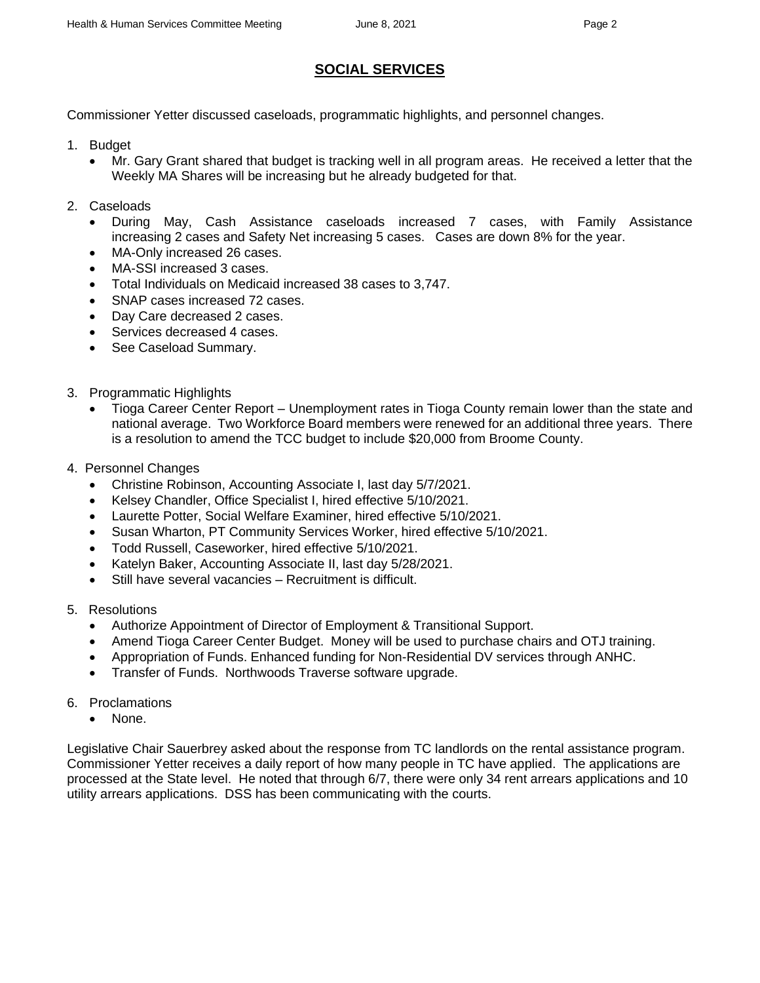## **SOCIAL SERVICES**

Commissioner Yetter discussed caseloads, programmatic highlights, and personnel changes.

- 1. Budget
	- Mr. Gary Grant shared that budget is tracking well in all program areas. He received a letter that the Weekly MA Shares will be increasing but he already budgeted for that.
- 2. Caseloads
	- During May, Cash Assistance caseloads increased 7 cases, with Family Assistance increasing 2 cases and Safety Net increasing 5 cases. Cases are down 8% for the year.
	- MA-Only increased 26 cases.
	- MA-SSI increased 3 cases.
	- Total Individuals on Medicaid increased 38 cases to 3,747.
	- SNAP cases increased 72 cases.
	- Day Care decreased 2 cases.
	- Services decreased 4 cases.
	- See Caseload Summary.
- 3. Programmatic Highlights
	- Tioga Career Center Report Unemployment rates in Tioga County remain lower than the state and national average. Two Workforce Board members were renewed for an additional three years. There is a resolution to amend the TCC budget to include \$20,000 from Broome County.
- 4. Personnel Changes
	- Christine Robinson, Accounting Associate I, last day 5/7/2021.
	- Kelsey Chandler, Office Specialist I, hired effective 5/10/2021.
	- Laurette Potter, Social Welfare Examiner, hired effective 5/10/2021.
	- Susan Wharton, PT Community Services Worker, hired effective 5/10/2021.
	- Todd Russell, Caseworker, hired effective 5/10/2021.
	- Katelyn Baker, Accounting Associate II, last day 5/28/2021.
	- Still have several vacancies Recruitment is difficult.
- 5. Resolutions
	- Authorize Appointment of Director of Employment & Transitional Support.
	- Amend Tioga Career Center Budget. Money will be used to purchase chairs and OTJ training.
	- Appropriation of Funds. Enhanced funding for Non-Residential DV services through ANHC.
	- Transfer of Funds. Northwoods Traverse software upgrade.
- 6. Proclamations
	- None.

Legislative Chair Sauerbrey asked about the response from TC landlords on the rental assistance program. Commissioner Yetter receives a daily report of how many people in TC have applied. The applications are processed at the State level. He noted that through 6/7, there were only 34 rent arrears applications and 10 utility arrears applications. DSS has been communicating with the courts.